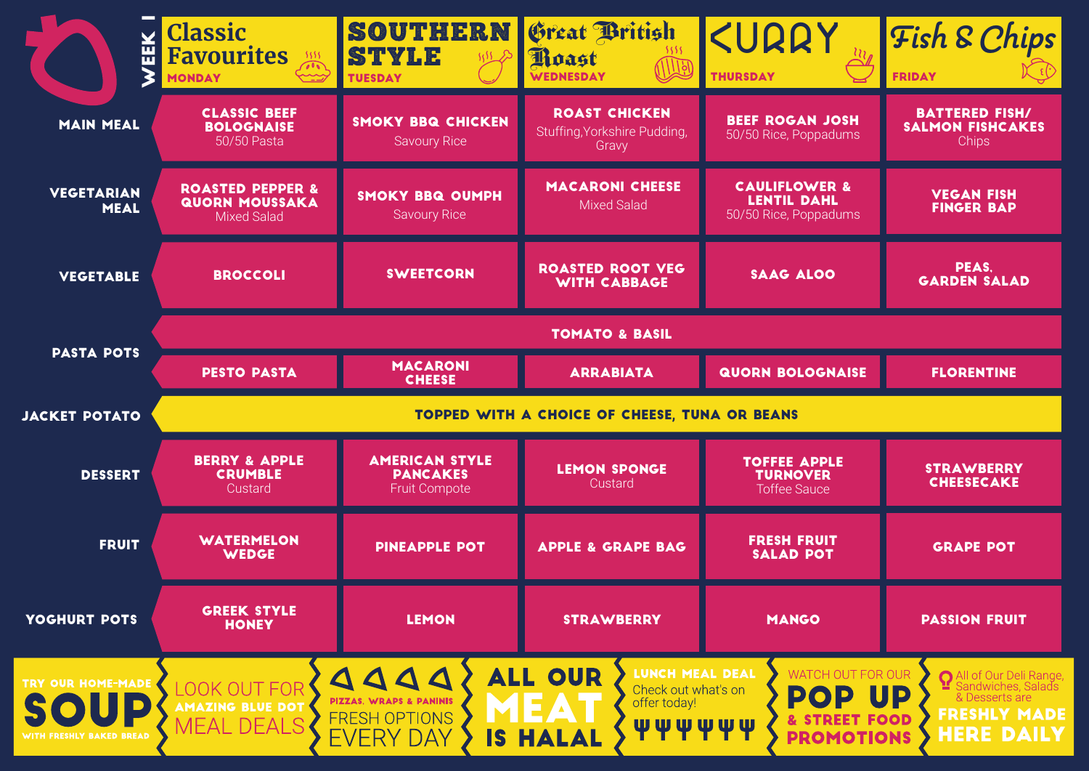| 副                                | <b>Classic</b><br><b>Favourites</b><br>5555<br>تحييب<br><b>MONDAY</b>      | SOUTHERN<br><b>STYLE</b><br><b>TUESDAY</b>                       | Great British<br>Poast<br><b>WEDNESDAY</b>                    | KURRY<br><b>THURSDAY</b>                                                | <b>Fish &amp; Chips</b><br><b>FRIDAY</b>                         |  |
|----------------------------------|----------------------------------------------------------------------------|------------------------------------------------------------------|---------------------------------------------------------------|-------------------------------------------------------------------------|------------------------------------------------------------------|--|
| <b>MAIN MEAL</b>                 | <b>CLASSIC BEEF</b><br><b>BOLOGNAISE</b><br>50/50 Pasta                    | <b>SMOKY BBQ CHICKEN</b><br><b>Savoury Rice</b>                  | <b>ROAST CHICKEN</b><br>Stuffing, Yorkshire Pudding,<br>Gravy | <b>BEEF ROGAN JOSH</b><br>50/50 Rice, Poppadums                         | <b>BATTERED FISH/</b><br><b>SALMON FISHCAKES</b><br><b>Chips</b> |  |
| <b>VEGETARIAN</b><br><b>MEAL</b> | <b>ROASTED PEPPER &amp;</b><br><b>QUORN MOUSSAKA</b><br><b>Mixed Salad</b> | <b>SMOKY BBQ OUMPH</b><br><b>Savoury Rice</b>                    | <b>MACARONI CHEESE</b><br>Mixed Salad                         | <b>CAULIFLOWER &amp;</b><br><b>LENTIL DAHL</b><br>50/50 Rice, Poppadums | <b>VEGAN FISH</b><br><b>FINGER BAP</b>                           |  |
| <b>VEGETABLE</b>                 | <b>BROCCOLI</b>                                                            | <b>SWEETCORN</b>                                                 | <b>ROASTED ROOT VEG</b><br><b>WITH CABBAGE</b>                | <b>SAAG ALOO</b>                                                        | PEAS,<br><b>GARDEN SALAD</b>                                     |  |
| <b>PASTA POTS</b>                | <b>TOMATO &amp; BASIL</b>                                                  |                                                                  |                                                               |                                                                         |                                                                  |  |
|                                  | <b>PESTO PASTA</b>                                                         | <b>MACARONI</b><br><b>CHEESE</b>                                 | <b>ARRABIATA</b>                                              | <b>QUORN BOLOGNAISE</b>                                                 | <b>FLORENTINE</b>                                                |  |
|                                  | TOPPED WITH A CHOICE OF CHEESE, TUNA OR BEANS                              |                                                                  |                                                               |                                                                         |                                                                  |  |
| <b>JACKET POTATO</b>             |                                                                            |                                                                  |                                                               |                                                                         |                                                                  |  |
| <b>DESSERT</b>                   | <b>BERRY &amp; APPLE</b><br><b>CRUMBLE</b><br>Custard                      | <b>AMERICAN STYLE</b><br><b>PANCAKES</b><br><b>Fruit Compote</b> | <b>LEMON SPONGE</b><br>Custard                                | <b>TOFFEE APPLE</b><br><b>TURNOVER</b><br><b>Toffee Sauce</b>           | <b>STRAWBERRY</b><br><b>CHEESECAKE</b>                           |  |
| <b>FRUIT</b>                     | <b>WATERMELON</b><br><b>WEDGE</b>                                          | <b>PINEAPPLE POT</b>                                             | <b>APPLE &amp; GRAPE BAG</b>                                  | <b>FRESH FRUIT</b><br><b>SALAD POT</b>                                  | <b>GRAPE POT</b>                                                 |  |
| YOGHURT POTS                     | <b>GREEK STYLE</b><br><b>HONEY</b>                                         | <b>LEMON</b>                                                     | <b>STRAWBERRY</b>                                             | <b>MANGO</b>                                                            | <b>PASSION FRUIT</b>                                             |  |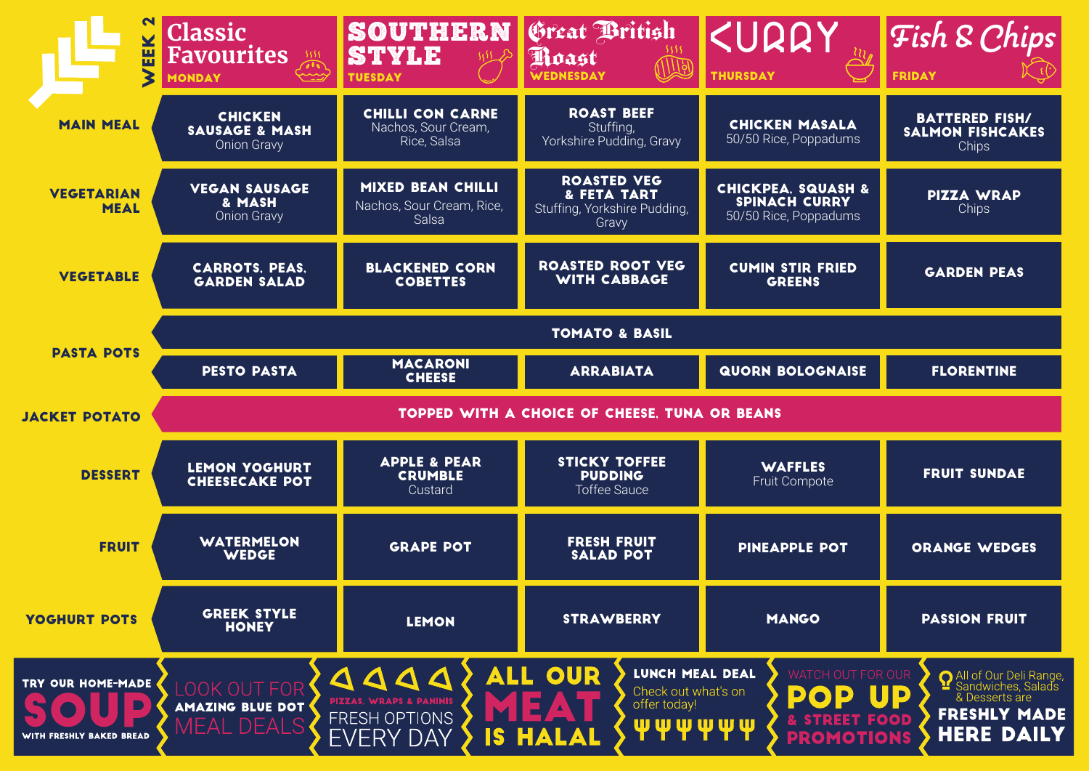| EEK                              | <b>Classic</b><br>Favourites<br><b>MONDAY</b>                     | SOUTHERN<br><b>STYLE</b><br><b>TUESDAY</b>                     | Great British<br>Poast<br>WEDNESDAY                                        | KURRY<br><b>THURSDAY</b>                                                       | Fish & Chips<br><b>FRIDAY</b>                             |  |  |
|----------------------------------|-------------------------------------------------------------------|----------------------------------------------------------------|----------------------------------------------------------------------------|--------------------------------------------------------------------------------|-----------------------------------------------------------|--|--|
| <b>MAIN MEAL</b>                 | <b>CHICKEN</b><br><b>SAUSAGE &amp; MASH</b><br><b>Onion Gravy</b> | <b>CHILLI CON CARNE</b><br>Nachos, Sour Cream,<br>Rice, Salsa  | <b>ROAST BEEF</b><br>Stuffing,<br>Yorkshire Pudding, Gravy                 | <b>CHICKEN MASALA</b><br>50/50 Rice, Poppadums                                 | <b>BATTERED FISH/</b><br><b>SALMON FISHCAKES</b><br>Chips |  |  |
| <b>VEGETARIAN</b><br><b>MEAL</b> | <b>VEGAN SAUSAGE</b><br>& MASH<br><b>Onion Gravy</b>              | <b>MIXED BEAN CHILLI</b><br>Nachos, Sour Cream, Rice,<br>Salsa | <b>ROASTED VEG</b><br>& FETA TART<br>Stuffing, Yorkshire Pudding,<br>Gravy | <b>CHICKPEA, SQUASH &amp;</b><br><b>SPINACH CURRY</b><br>50/50 Rice, Poppadums | <b>PIZZA WRAP</b><br>Chips                                |  |  |
| <b>VEGETABLE</b>                 | <b>CARROTS, PEAS,</b><br><b>GARDEN SALAD</b>                      | <b>BLACKENED CORN</b><br><b>COBETTES</b>                       | <b>ROASTED ROOT VEG</b><br><b>WITH CABBAGE</b>                             | <b>CUMIN STIR FRIED</b><br><b>GREENS</b>                                       | <b>GARDEN PEAS</b>                                        |  |  |
|                                  | <b>TOMATO &amp; BASIL</b>                                         |                                                                |                                                                            |                                                                                |                                                           |  |  |
| <b>PASTA POTS</b>                | <b>PESTO PASTA</b>                                                | <b>MACARONI</b><br><b>CHEESE</b>                               | <b>ARRABIATA</b>                                                           | <b>QUORN BOLOGNAISE</b>                                                        | <b>FLORENTINE</b>                                         |  |  |
|                                  | <b>TOPPED WITH A CHOICE OF CHEESE, TUNA OR BEANS</b>              |                                                                |                                                                            |                                                                                |                                                           |  |  |
| <b>JACKET POTATO</b>             |                                                                   |                                                                |                                                                            |                                                                                |                                                           |  |  |
| <b>DESSERT</b>                   | <b>LEMON YOGHURT</b><br><b>CHEESECAKE POT</b>                     | <b>APPLE &amp; PEAR</b><br><b>CRUMBLE</b><br>Custard           | <b>STICKY TOFFEE</b><br><b>PUDDING</b><br><b>Toffee Sauce</b>              | <b>WAFFLES</b><br>Fruit Compote                                                | <b>FRUIT SUNDAE</b>                                       |  |  |
| <b>FRUIT</b>                     | <b>WATERMELON</b><br><b>WEDGE</b>                                 | <b>GRAPE POT</b>                                               | <b>FRESH FRUIT</b><br><b>SALAD POT</b>                                     | <b>PINEAPPLE POT</b>                                                           | <b>ORANGE WEDGES</b>                                      |  |  |
| YOGHURT POTS                     | <b>GREEK STYLE</b><br><b>HONEY</b>                                | <b>LEMON</b>                                                   | <b>STRAWBERRY</b>                                                          | <b>MANGO</b>                                                                   | <b>PASSION FRUIT</b>                                      |  |  |